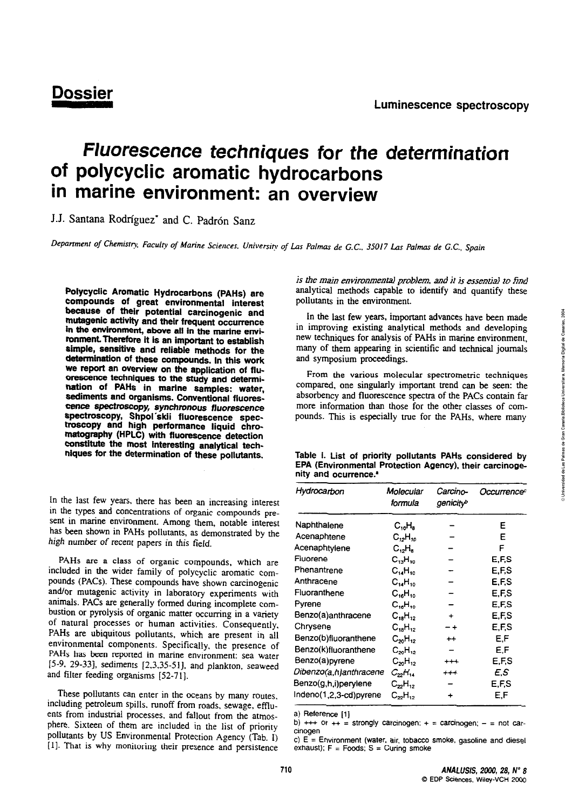# **Dossier**

## Fluorescence techniques for the determination of polycyclic aromatic hydrocarbons in marine environment: an overview

J.J. Santana Rodríguez\* and C. Padrón Sanz

Department of Chemistry, Faculty of Marine Sciences, University of Las Palmas de G.C., 35017 Las Palmas de G.C., Spain

Polycyclic Aromatic Hydrocarbons (PAHs) are compounds of great environmental interest because of their potential carcinogenic and mutagenic activity and their frequent occurrence in the environment, above all in the marine environment. Therefore it is an important to establish simple, sensitive and reliable methods for the determination of these compounds. In this work we report an overview on the application of fluorescence techniques to the study and determination of PAHs in marine samples: water, sediments and organisms. Conventional fluorescence spectroscopy, synchronous fluorescence spectroscopy, Shpol'skii fluorescence spectroscopy and high performance liquid chromatography (HPLC) with fluorescence detection constitute the most interesting analytical techniques for the determination of these pollutants.

In the last few years, there has been an increasing interest in the types and concentrations of organic compounds present in marine environment. Among them, notable interest has been shown in PAHs pollutants, as demonstrated by the high number of recent papers in this field.

PAHs are a class of organic compounds, which are included in the wider family of polycyclic aromatic compounds (PACs). These compounds have shown carcinogenic and/or mutagenic activity in laboratory experiments with animals. PACs are generally formed during incomplete combustion or pyrolysis of organic matter occurring in a variety of natural processes or human activities. Consequently, PAHs are ubiquitous pollutants, which are present in all environmental components. Specifically, the presence of PAHs has been reported in marine environment: sea water [5-9, 29-33], sediments [2,3,35-51], and plankton, seaweed and filter feeding organisms [52-71].

These pollutants can enter in the oceans by many routes, including petroleum spills, runoff from roads, sewage, effluents from industrial processes, and fallout from the atmosphere. Sixteen of them are included in the list of priority pollutants by US Environmental Protection Agency (Tab. I) [1]. That is why monitoring their presence and persistence is the main environmental problem, and it is essential to find analytical methods capable to identify and quantify these pollutants in the environment.

In the last few years, important advances have been made in improving existing analytical methods and developing new techniques for analysis of PAHs in marine environment, many of them appearing in scientific and technical journals and symposium proceedings.

From the various molecular spectrometric techniques compared, one singularly important trend can be seen: the absorbency and fluorescence spectra of the PACs contain far more information than those for the other classes of compounds. This is especially true for the PAHs, where many

|                                  |  |  |  | Table I. List of priority pollutants PAHs considered by |  |
|----------------------------------|--|--|--|---------------------------------------------------------|--|
|                                  |  |  |  | EPA (Environmental Protection Agency), their carcinoge- |  |
| nity and ocurrence. <sup>*</sup> |  |  |  |                                                         |  |

| Hydrocarbon            | Molecular<br>formula | Carcino-<br>genicity <sup>b</sup> | Occurrenceª |
|------------------------|----------------------|-----------------------------------|-------------|
| Naphthalene            | $C_{10}H_8$          |                                   | Е           |
| Acenaphtene            | $C_{12}H_{10}$       |                                   | Е           |
| Acenaphtylene          | C, H                 |                                   | F           |
| Fluorene               | $C_{13}H_{10}$       |                                   | E.F.S       |
| Phenantrene            | $C_{14}H_{10}$       |                                   | E.F.S       |
| Anthracene             | $C_{14}H_{10}$       |                                   | E.F.S       |
| Fluoranthene           | $C_{16}H_{10}$       |                                   | E,F,S       |
| Pyrene                 | $C_{16}H_{10}$       |                                   | E.F.S       |
| Benzo(a)anthracene     | $C_{18}H_{12}$       | +                                 | E,F,S       |
| Chrysene               | $C_{18}H_{12}$       |                                   | E.F.S       |
| Benzo(b)fluoranthene   | $C_{20}H_{12}$       | $^{\mathrm{+}}$                   | E.F         |
| Benzo(k)fluoranthene   | $C_{20}H_{12}$       |                                   | E.F         |
| Benzo(a)pyrene         | $C_{20}H_{12}$       | $^{+++}$                          | E,F,S       |
| Dibenzo(a,h)anthracene | $C_{22}H_{14}$       | +++                               | E.S         |
| Benzo(g,h,i)perylene   | C <sub>22</sub> H.,  |                                   | E.F.S       |
| Indeno(1,2,3-cd)pyrene | $C_{22}H_{12}$       | +                                 | E.F         |

a) Reference [1]

b) +++ or ++ = strongly carcinogen; + = carcinogen; - = not carcinogen

c)  $E =$  Environment (water, air, tobacco smoke, gasoline and diesel exhaust);  $F =$  Foods;  $S =$  Curing smoke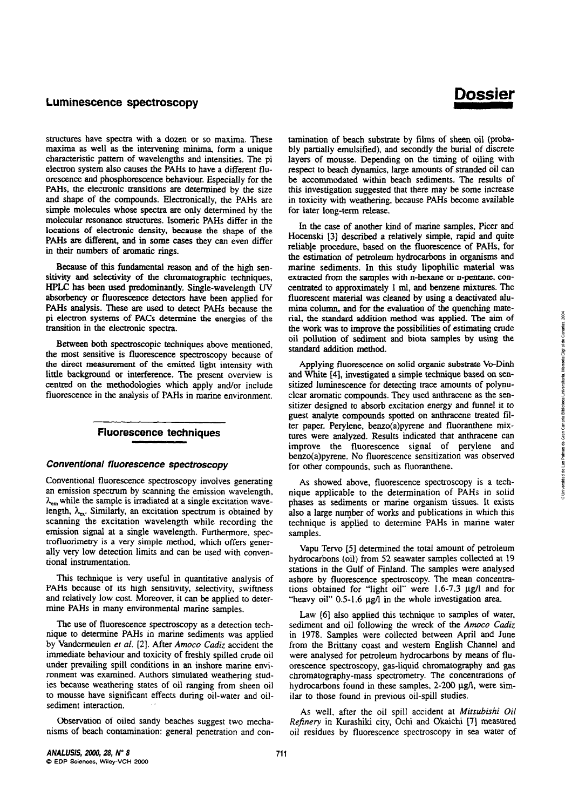structures have spectra with a dozen or so maxima. These rnaxima as well as the intervening minima, form a unique characteristic pattem of wavelengths and intensities. The pi electron system also causes the PAHs to have a different flu-<br>orescence and phosphorescence behaviour. Especially for the PAHs, the electronic transitions are determined by the size and shape of the compounds. Electronically, the PAHs are simple molecules whose spectra are only determined by the molecular resonance structures. Isomeric PAHs differ in the locations of electronic density, because the shape of the PAHs are **different,** and **in** some cases they can even differ **in** their numbers of aromatic rings.

Because of this fundamental reason and of the high sensitivity and selectivity of the chromatographic techniques, **HPLC** has been **used** predorninantiy. Single-wavelength W absorbency or fluorescence detectors have been applied for PAHs analysis. These are used to detect PAHs because the pi elecmn systems **of PACs &termine ihp enegies ef** the transition **in** the electronic spectra.

Between both spectroscopic techniques above mentioned. the most sensitive is fluorescence spectroscopy because of the direct measurement of the emitted light intensity with little background or interference. The present overview is centred on the methodologies which apply and/or include fluorescence in the analysis of PAHs in marine environment.

## **Fluorescence techniques**

#### **Conventional fluorescence spectroscopy**

Conventional fluorescence spectroscopy involves generating an emission spectrum by scanning the emission wavelength.  $\lambda_{em}$  while the sample is irradiated at a single excitation wavelength,  $\lambda_{ex}$ . Similarly, an excitation spectrum is obtained by scanning **the** excitation wavelength while recording the emission signal at a single wavelength. Furthermore, spectrofluorimetry is a very simple method, which offers generally very low detection limits and can be used with conventional instrumentation.

This technique is very useful in quantitative analysis of PAHs because of its high sensitivity, selectivity, swiftness and relatively low cost. Moreover, it can be applied to determine PAHs in many environmental marine samples.

The use of fluorescence spectroscopy as a detection technique to determine PAHs in marine sediments was applied by Vandermeulen et al. [2]. After Amoco Cadiz accident the immediate behaviour and toxicity of freshly spilled cmde oil under prevailing spill conditions in **an** inshore manne environment was examined. Authors simulated weathering studies because weathering states of oil ranging from sheen oil to mousse have significant effects dunng oil-water and oilsediment interaction.

Observation of oiled sandy beaches suggest two mechanisrns of beach contamination: general penetration and con-

## Dossier

tamination of beach substrate by films of sheen oil (probably partially ernulsified), and secondly the buriai of discrete layers of mousse. Depending on the timing of oiling with respect to beach dynamics. large amounts of stranded oil can be accomrnodated within **beach** sediments. The results of this investigation suggested that there may be some increase in toxicity with weathering, because PAHs become available for later long-term release.

In the case of another kind of marine samples. Picer and Hocenski [3] described a relatively simple, rapid and quite reliable procedure, based on the fluorescence of PAHs, for the estirnation of petroleurn hydrocarbons in organisrns and marine sediments. In this study lipophilic material **was**  extracted from the samples with n-hexane or n-pentane, concentrated to approximately 1 ml, and benzene **rnixtures.** The fluorescent material was cleaned by using a deactivated alumina column, and for the evaluation of the quenching mate-<br>mina column, and for the evaluation of the quenching mate-<br>rial, the standard addition method was applied. The aim of the work was to improve the possibilities of estimating crude oil pollution of sdiment and biota samples by using **the**  standard addition method.

Applying fluorescence on solid organic substrate Vo-Dinh and White **[4],** investigated a simple technique based on sensitized luminescence for detecting trace amounts of polynuclear aromatic compounds. They used anthracene as the sensitizer designed to absorb excitation energy **and** funnel it to guest **analyte** compounds spotted on anthracene treated filter paper. Perylene, benzo(a)pyrene and fluoranthene mixtures were anaiyzed. Results indicated that anthracene can improve the fluorescence signal of perylene and benzo(a)pyrene. No fluorescence sensitization was observed for other compounds, such as fluoranthene.

As showed above, fluorescence spectroscopy is a technique applicable to the determination of PAHs in solid phases as sediments or marine organism tissues. It exists also a large number of works and publications in which this technique is applied to determine PAHs in marine water samples.

Vapu Tervo **[5]** detemined he total amount of petroleum hydrocarbons (oil) from 52 seawater samples collected at 19 stations in the Gulf of Finland. The samples were analysed ashore by fluorescence spectroscopy. The mean concentrations obtained for "light oil" were 1.6-7.3 µg/l and for "heavy oil" 0.5-1.6  $\mu$ g/l in the whole investigation area.

Law [6] also applied this technique to samples of water, sediment and oil following the wreck of the *Amoco Cadiz*  in 1978. Samples were collected between April and June from the Brittany coast and westem English Channel and were analysed for petroleum hydrocarbons by means of fluorescence spectroscopy, gas-liquid chromatography and gas chromatography-mass spectrometry. The concentrations of hydrocarbons found in these samples, 2-200  $\mu$ g/l, were similar to those found in previous oil-spill studies.

**As** well, after the oil spill accident at *Mitsubishi Oil Refinery* in Kurashiki city, Ochi and Okaichi [7] measured oil residues by fluorescence spectroscopy in sea water of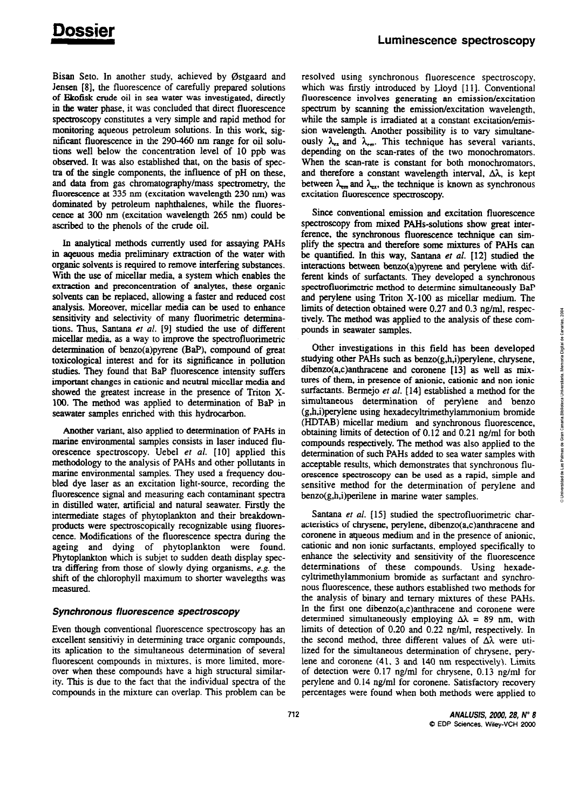Bisan Seto. In another study, achieved by Østgaard and Jensen [8], the fluorescence of carefully prepared solutions of Ekofisk crude oil in sea water was investigated, directly in the water phase, it was concluded that direct fluorescence spectroscopy constitutes a very simple and rapid method for monitoring aqueous petroleum solutions. In this work, significant fluorescence in the 290-460 nm range for oil solutions well below the concentration level of 10 ppb was observed. It was also established that, on the basis of spectra of the single components, the influence of pH on these, and data from gas chromatography/mass spectrometry, the fluorescence at 335 nm (excitation wavelength 230 nm) was dominated by petroleum naphthalenes, while the fluorescence at 300 nm (excitation wavelength 265 nm) could be ascribed to the phenols of the crude oil.

In analytical methods currently used for assaying PAHs in ageuous media preliminary extraction of the water with organic solvents is required to remove interfering substances. With the use of micellar media, a system which enables the extraction and preconcentration of analytes, these organic solvents can be replaced, allowing a faster and reduced cost analysis. Moreover, micellar media can be used to enhance sensitivity and selectivity of many fluorimetric determinations. Thus, Santana et al. [9] studied the use of different micellar media, as a way to improve the spectrofluorimetric determination of benzo(a)pyrene (BaP), compound of great toxicological interest and for its significance in pollution studies. They found that BaP fluorescence intensity suffers important changes in cationic and neutral micellar media and showed the greatest increase in the presence of Triton X-100. The method was applied to determination of BaP in seawater samples enriched with this hydrocarbon.

Another variant, also applied to determination of PAHs in marine environmental samples consists in laser induced fluorescence spectroscopy. Uebel et al. [10] applied this methodology to the analysis of PAHs and other pollutants in marine environmental samples. They used a frequency doubled dve laser as an excitation light-source, recording the fluorescence signal and measuring each contaminant spectra in distilled water, artificial and natural seawater. Firstly the intermediate stages of phytoplankton and their breakdownproducts were spectroscopically recognizable using fluorescence. Modifications of the fluorescence spectra during the ageing and dying of phytoplankton were found. Phytoplankton which is subjet to sudden death display spectra differing from those of slowly dying organisms, e.g. the shift of the chlorophyll maximum to shorter wavelegths was measured.

#### Synchronous fluorescence spectroscopy

Even though conventional fluorescence spectroscopy has an excellent sensitiviy in determining trace organic compounds. its aplication to the simultaneous determination of several fluorescent compounds in mixtures, is more limited, moreover when these compounds have a high structural similarity. This is due to the fact that the individual spectra of the compounds in the mixture can overlap. This problem can be resolved using synchronous fluorescence spectroscopy, which was firstly introduced by Lloyd [11]. Conventional fluorescence involves generating an emission/excitation spectrum by scanning the emission/excitation wavelength, while the sample is irradiated at a constant excitation/emission wavelength. Another possibility is to vary simultaneously  $\lambda_{ex}$  and  $\lambda_{em}$ . This technique has several variants, depending on the scan-rates of the two monochromators. When the scan-rate is constant for both monochromators, and therefore a constant wavelength interval,  $\Delta\lambda$ , is kept between  $\lambda_{\text{em}}$  and  $\lambda_{\text{ex}}$ , the technique is known as synchronous excitation fluorescence spectroscopy.

Since conventional emission and excitation fluorescence spectroscopy from mixed PAHs-solutions show great interference, the synchronous fluorescence technique can simplify the spectra and therefore some mixtures of PAHs can be quantified. In this way, Santana et al. [12] studied the interactions between benzo(a)pyrene and perylene with different kinds of surfactants. They developed a synchronous spectrofluorimetric method to determine simultaneously BaP and perylene using Triton X-100 as micellar medium. The limits of detection obtained were 0.27 and 0.3 ng/ml, respectively. The method was applied to the analysis of these compounds in seawater samples.

Other investigations in this field has been developed studying other PAHs such as benzo(g,h,i)pervlene, chrysene, dibenzo(a,c)anthracene and coronene [13] as well as mixtures of them, in presence of anionic, cationic and non ionic surfactants. Bermejo et al. [14] established a method for the simultaneous determination of perylene and benzo (g,h,i)perylene using hexadecyltrimethylammonium bromide (HDTAB) micellar medium and synchronous fluorescence, obtaining limits of detection of 0.12 and 0.21 ng/ml for both compounds respectively. The method was also applied to the determination of such PAHs added to sea water samples with acceptable results, which demonstrates that synchronous fluorescence spectroscopy can be used as a rapid, simple and sensitive method for the determination of perylene and benzo(g,h,i)perilene in marine water samples.

Santana et al. [15] studied the spectrofluorimetric characteristics of chrysene, pervlene, dibenzo(a,c)anthracene and coronene in aqueous medium and in the presence of anionic, cationic and non ionic surfactants, employed specifically to enhance the selectivity and sensitivity of the fluorescence determinations of these compounds. Using hexadecyltrimethylammonium bromide as surfactant and synchronous fluorescence, these authors established two methods for the analysis of binary and ternary mixtures of these PAHs. In the first one dibenzo(a,c)anthracene and coronene were determined simultaneously employing  $\Delta\lambda = 89$  nm, with limits of detection of 0.20 and 0.22 ng/ml, respectively. In the second method, three different values of  $\Delta\lambda$  were utilized for the simultaneous determination of chrysene, perylene and coronene (41, 3 and 140 nm respectively). Limits of detection were 0.17 ng/ml for chrysene, 0.13 ng/ml for perylene and 0.14 ng/ml for coronene. Satisfactory recovery percentages were found when both methods were applied to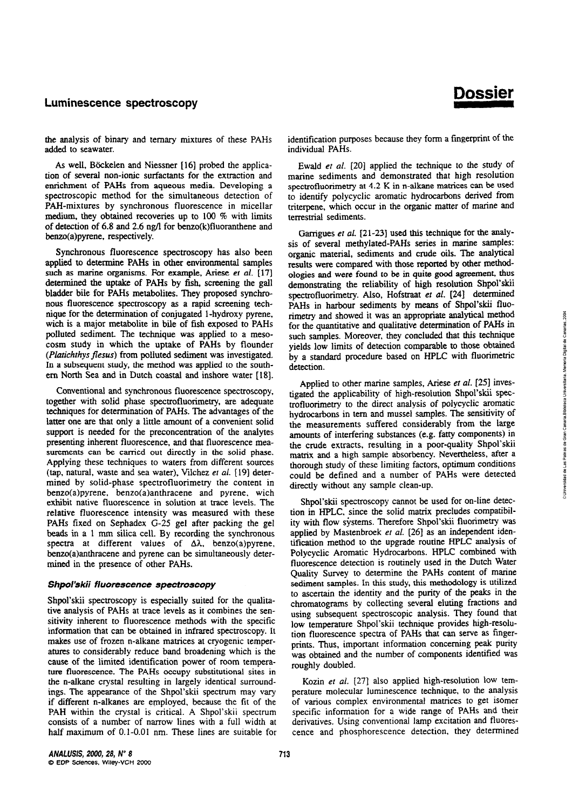**Dossier** 

the analysis of binary and ternary mixtures of these PAHs added to seawater.

**As** well, B6ckelen and Niessner **[16]** probed the application of several non-ioníc surfactants for the extraction and enrichrnent of PAHs from aqueous media. Developing a spectroscopic method for the simultaneous detection of PAH-mixtures by synchronous fluorescence in micellar medium, they obtained recoveries up to 100 % with limits of detection of 6.8 and 2.6 ng/l for benzo(k)fluoranthene and benzo(a)pyrene, respectively.

Synchronous fluorescence spectroscopy has also been applied **to** determine PAHs in other environmental sarnples such as marine organisms. For example, Ariese et al. **[17]**  determined the uptake of PAHs by fish, screening the gall bladder bile for PAHs metabolites. They proposed synchronous fluorescence specuoscopy as a rapid screening technique for the determination of conjugated 1-hydroxy pyrene, wich is a major metabolite in bile of fish exposed to PAHs polluted sediment. The technique was applied to a mesocosm study in which the uptake of PAHs by flounder *(Platichthys flesus)* from polluted sediment was investigated. In a subsequent study, the method was applied **to** the southern Norih Sea **and** in Dutch coastai and inshore water **1181.** 

Conventional and synchronous fluorescence spectroscopy, together with solid phase spectrofluorimetry, are adequate techniques for determination of PAHs. The advantages of the latter one are that only a little amount of a convenient solid support is needed for the preconcentration of the anaiytes presenting inherent fluorescence, and that fluorescence mea- $\frac{1}{2}$  surements can be carried out directly in the solid phase. Applying these techniques to waters from different sources (tap, natural, waste and sea water), Vilchez et al. [19] determined by solid-phase spectrofluorimetry the content in benzo(a)pyrene, benzo(a)anthracene and pyrene. wich exhibit native fluorescence in solution at trace leveis. The relative fluorescence intensity was measured with these PAHs fixed on Sephadex G-25 gel after packing the gel **beads** in a 1 **mm** silica cell. By recording the synchronous spectra at different values of  $\Delta\lambda$ , benzo(a)pyrene, benzo(a)anthracene and pyrene can be simultaneously determined in the presence of other PAHs.

#### Shpol'skii fluorescence spectroscopy

Shpol'skii spectroscopy is especially suited for the qualitative analysis of PAHs at trace levels as it combines the sensitivity inherent to fluorescence methods with the specific information that can be obtained in infrared spectroscopy. **It**  makes use of frozen n-alkane matrices at cryogenic temperatures to considerably reduce band broadening which is the cause of the lirnited identification power of room temperature fluorescence. The PAHs occupy substitutional sites in the n-alkane crystal resulting in largely identical surroundings. The appearance o€ the Shpol'skii spectrum may **vary**  if different n-alkanes are employed, because the fit of the PAH within the crystal is critical. A Shpol'skii spectrum consists of a number of narrow lines with a fui1 width at half maximum of 0.1-0.01 nm. These lines are suitable for

identification purposes because they form a fingerprint of the individual PAHs.

Ewaid **er** al. **1201** applied the technique to the study of marine sediments and demonstrated that high resolution spectrofluorimetry at 4.2 K in n-alkane matrices can be used to identify polycyclic aromatic hydrocarbons denved from triterpene, which occur in the organic matter of marine and terrestrial sediments.

Garrigues et al. [21-23] used this technique for the analysis of several methylated-PAHs series in marine samples: organic material. sediments and cmde oils. The analytical results were compared with those reponed by other methodologies and were found to be in quite **good** agreement, thus demonstrating the reliability of high resolution Shpol'skii spectrofluorimetry. Also, Hofstraat et al. **[24]** determined PAHs in harbour sediments by means of Shpol'skii fluorimetry and showed it **was an** appropriate analytical method for the quantitative and qualitative detennination of PAHs in such samples. Moreover, they concluded that this technique yields low limits of detection comparable to hose obtained by a standard procedure based on **HPLC** with fluorimetric detection.

Applied to other marine samples, Ariese et al. [25] investigated the applicability of high-resoiuuon **Shpol'skíi** spectrofluorimetry to the direct analysis of polycyclic aromatic hydrocarbons in tern and mussel samples. **The** sensitivity of the measurements suffered considerably from the large amounts of interfering substances (e.g. fatty components) in the crude extracts, resulting in a poor-quality Shpol'skii matrix and a high sample absorbency. Nevertheless, after a thorough study of these limiting factors, optimum conditions could be defined and a number of PAHs were detected directly without any sample clean-up.

Shpol'skii spectroscopy cannot be used for on-line detection in HPLC. since the solid matrix precludes compatibility with flow systems. Therefore Shpol'skii fluorimetry was applied by Mastenbroek *er* al. [26] as **an** independent identification method to the upgrade routine HPLC analysis of Polycyclic Aromatic Hydrocarbons. **HPLC** combined **with**  fluorescence detection is routinely used in the Dutch Water Quality Survey to determine the PAHs content of marine sediment samples. In this study, this methodology is utilized to ascertain the identity and the purity of the peaks in the chromatograms by collecting several eluting fractions and using subsequent spectroscopic analysis. They found that low temperature Shpol'skii technique provides high-resolution fluorescence specua of PAHs fhat can serve as fingerprints. Thus, important information concerning peak purity was obtained and the number of components identified was roughly doubled.

Kozin et al. [27] also applied high-resolution low temperature molecular luminescence technique, to he analysis of various complex environmental matrices to get isomer specific information for a wide range of **PAHs** and their denvatives. Using conventional lamp excitation and fluorescence and phosphorescence detection, they determined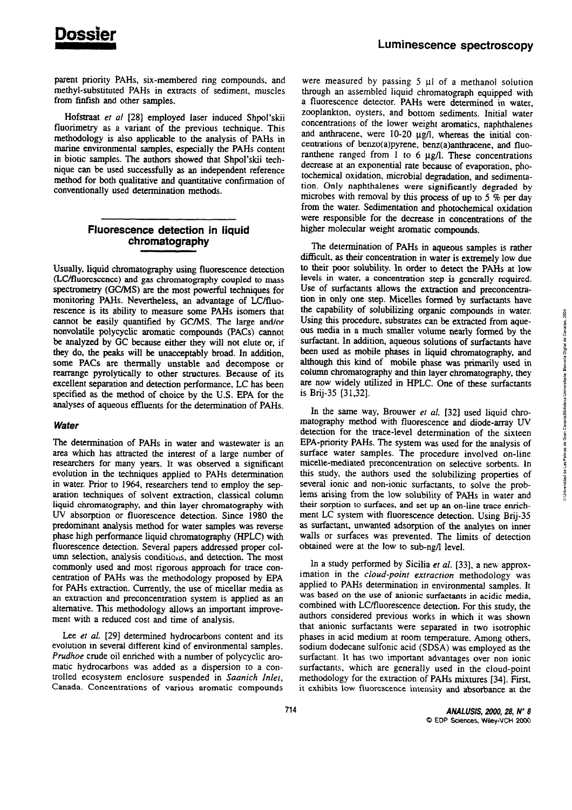parent priority PAHs, six-membered ring compounds, and methyl-substituted PAHs in extracts of sediment, muscles from finfish and other samples.

Hofstraat et al [28] employed laser induced Shpol'skii fluorimetry as a variant of the previous technique. This methodology is also applicable to the analysis of PAHs in marine environmental samples, especially the PAHs content in biotic samples. The authors showed that Shpol'skii technique can be used successfully as an independent reference method for both qualitative and quantitative confirmation of conventionally used determination methods.

## Fluorescence detection in liquid chromatography

Usually, liquid chromatography using fluorescence detection (LC/fluorescence) and gas chromatography coupled to mass spectrometry (GC/MS) are the most powerful techniques for monitoring PAHs. Nevertheless, an advantage of LC/fluorescence is its ability to measure some PAHs isomers that cannot be easily quantified by GC/MS. The large and/or nonvolatile polycyclic aromatic compounds (PACs) cannot be analyzed by GC because either they will not elute or, if they do, the peaks will be unacceptably broad. In addition, some PACs are thermally unstable and decompose or rearrange pyrolytically to other structures. Because of its excellent separation and detection performance, LC has been specified as the method of choice by the U.S. EPA for the analyses of aqueous effluents for the determination of PAHs.

## **Water**

The determination of PAHs in water and wastewater is an area which has attracted the interest of a large number of researchers for many years. It was observed a significant evolution in the techniques applied to PAHs determination in water. Prior to 1964, researchers tend to employ the separation techniques of solvent extraction, classical column liquid chromatography, and thin layer chromatography with UV absorption or fluorescence detection. Since 1980 the predominant analysis method for water samples was reverse phase high performance liquid chromatography (HPLC) with fluorescence detection. Several papers addressed proper column selection, analysis conditions, and detection. The most commonly used and most rigorous approach for trace concentration of PAHs was the methodology proposed by EPA for PAHs extraction. Currently, the use of micellar media as an extraction and preconcentration system is applied as an alternative. This methodology allows an important improvement with a reduced cost and time of analysis.

Lee et al. [29] determined hydrocarbons content and its evolution in several different kind of environmental samples. Prudhoe crude oil enriched with a number of polycyclic aromatic hydrocarbons was added as a dispersion to a controlled ecosystem enclosure suspended in Saanich Inlet, Canada. Concentrations of various aromatic compounds

were measured by passing  $5 \mu l$  of a methanol solution through an assembled liquid chromatograph equipped with a fluorescence detector. PAHs were determined in water. zooplankton, oysters, and bottom sediments. Initial water concentrations of the lower weight aromatics, naphthalenes and anthracene, were 10-20 µg/l, whereas the initial concentrations of benzo(a)pyrene, benz(a)anthracene, and fluoranthene ranged from 1 to 6  $\mu$ g/l. These concentrations decrease at an exponential rate because of evaporation, photochemical oxidation, microbial degradation, and sedimentation. Only naphthalenes were significantly degraded by microbes with removal by this process of up to 5  $\%$  per day from the water. Sedimentation and photochemical oxidation were responsible for the decrease in concentrations of the higher molecular weight aromatic compounds.

The determination of PAHs in aqueous samples is rather difficult, as their concentration in water is extremely low due to their poor solubility. In order to detect the PAHs at low levels in water, a concentration step is generally required. Use of surfactants allows the extraction and preconcentration in only one step. Micelles formed by surfactants have the capability of solubilizing organic compounds in water. Using this procedure, substrates can be extracted from aqueous media in a much smaller volume nearly formed by the surfactant. In addition, aqueous solutions of surfactants have been used as mobile phases in liquid chromatography, and although this kind of mobile phase was primarily used in column chromatography and thin layer chromatography, they are now widely utilized in HPLC. One of these surfactants is Brij-35 [31,32].

In the same way, Brouwer et al. [32] used liquid chromatography method with fluorescence and diode-array UV detection for the trace-level determination of the sixteen EPA-priority PAHs. The system was used for the analysis of surface water samples. The procedure involved on-line micelle-mediated preconcentration on selective sorbents. In this study, the authors used the solubilizing properties of several ionic and non-ionic surfactants, to solve the problems arising from the low solubility of PAHs in water and their sorption to surfaces, and set up an on-line trace enrichment LC system with fluorescence detection. Using Brij-35 as surfactant, unwanted adsorption of the analytes on inner walls or surfaces was prevented. The limits of detection obtained were at the low to sub-ng/l level.

In a study performed by Sicilia et al. [33], a new approximation in the cloud-point extraction methodology was applied to PAHs determination in environmental samples. It was based on the use of anionic surfactants in acidic media, combined with LC/fluorescence detection. For this study, the authors considered previous works in which it was shown that anionic surfactants were separated in two isotrophic phases in acid medium at room temperature. Among others, sodium dodecane sulfonic acid (SDSA) was employed as the surfactant. It has two important advantages over non ionic surfactants, which are generally used in the cloud-point methodology for the extraction of PAHs mixtures [34]. First, it exhibits low fluorescence intensity and absorbance at the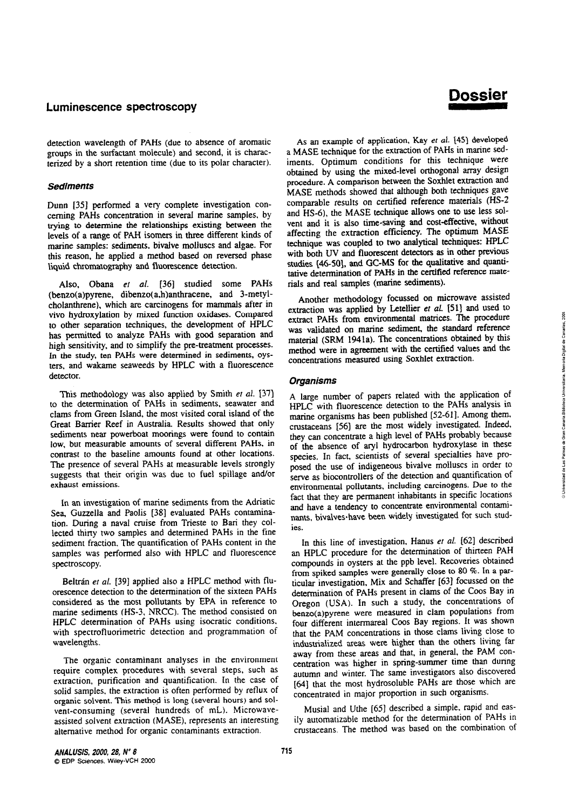**Dossier** 

detection wavelength of PAHs (due to absence of aromatic groups in the surfactant molecule) and second, it is characterized by a short retention time (due to its polar character).

#### **Sediments**

Dunn [35] performed a very complete investigation concerning PAHs concentration in several marine samples, by trying to determine the relationships existing between the levels of a range of PAH isomers in three different kinds of marine samples: sediments, bivalve molluscs and algae. For this reason, he applied a method based on reversed phase liquid chromatography and fluorescence detection.

Also, Obana et al. [36] studied some PAHs (benzo(a)pyrene, dibenzo(a,h)anthracene, and 3-metylcholanthrene), which are carcinogens for mammals after in vivo hydroxylation by mixed function oxidases. Compared to other separation techniques, the development of HPLC has permitted to analyze PAHs with good separation and high sensitivity, and to simplify the pre-treatment processes. In the study, ten PAHs were determined in sediments, oysters, and wakame seaweeds by HPLC with a fluorescence detector.

This methodology was also applied by Smith et al. [37] to the determination of PAHs in sediments, seawater and clams from Green Island, the most visited coral island of the Great Barrier Reef in Australia. Results showed that only sediments near powerboat moorings were found to contain low, but measurable amounts of several different PAHs, in contrast to the baseline amounts found at other locations. The presence of several PAHs at measurable levels strongly suggests that their origin was due to fuel spillage and/or exhaust emissions.

In an investigation of marine sediments from the Adriatic Sea. Guzzella and Paolis [38] evaluated PAHs contamination. During a naval cruise from Trieste to Bari they collected thirty two samples and determined PAHs in the fine sediment fraction. The quantification of PAHs content in the samples was performed also with HPLC and fluorescence spectroscopy.

Beltrán et al. [39] applied also a HPLC method with fluorescence detection to the determination of the sixteen PAHs considered as the most pollutants by EPA in reference to marine sediments (HS-3, NRCC). The method consisted on HPLC determination of PAHs using isocratic conditions, with spectrofluorimetric detection and programmation of wavelengths.

The organic contaminant analyses in the environment require complex procedures with several steps, such as extraction, purification and quantification. In the case of solid samples, the extraction is often performed by reflux of organic solvent. This method is long (several hours) and solvent-consuming (several hundreds of mL). Microwaveassisted solvent extraction (MASE), represents an interesting alternative method for organic contaminants extraction.

As an example of application, Kay et al. [45] developed a MASE technique for the extraction of PAHs in marine sediments. Optimum conditions for this technique were obtained by using the mixed-level orthogonal array design procedure. A comparison between the Soxhlet extraction and MASE methods showed that although both techniques gave comparable results on certified reference materials (HS-2 and HS-6), the MASE technique allows one to use less solvent and it is also time-saving and cost-effective, without<br>affecting the extraction efficiency. The optimum MASE technique was coupled to two analytical techniques: HPLC with both UV and fluorescent detectors as in other previous studies [46-50], and GC-MS for the qualitative and quantitative determination of PAHs in the certified reference materials and real samples (marine sediments).

Another methodology focussed on microwave assisted extraction was applied by Letellier et al. [51] and used to extract PAHs from environmental matrices. The procedure was validated on marine sediment, the standard reference material (SRM 1941a). The concentrations obtained by this method were in agreement with the certified values and the concentrations measured using Soxhlet extraction.

#### **Organisms**

A large number of papers related with the application of HPLC with fluorescence detection to the PAHs analysis in marine organisms has been published [52-61]. Among them, crustaceans [56] are the most widely investigated. Indeed, they can concentrate a high level of PAHs probably because of the absence of aryl hydrocarbon hydroxylase in these species. In fact, scientists of several specialties have proposed the use of indigeneous bivalve molluscs in order to serve as biocontrollers of the detection and quantification of environmental pollutants, including carcinogens. Due to the fact that they are permanent inhabitants in specific locations and have a tendency to concentrate environmental contaminants, bivalves have been widely investigated for such studies.

In this line of investigation, Hanus et al. [62] described an HPLC procedure for the determination of thirteen PAH compounds in oysters at the ppb level. Recoveries obtained from spiked samples were generally close to 80 %. In a particular investigation. Mix and Schaffer [63] focussed on the determination of PAHs present in clams of the Coos Bay in Oregon (USA). In such a study, the concentrations of benzo(a)pyrene were measured in clam populations from four different intermareal Coos Bay regions. It was shown that the PAM concentrations in those clams living close to industrialized areas were higher than the others living far away from these areas and that, in general, the PAM concentration was higher in spring-summer time than during autumn and winter. The same investigators also discovered [64] that the most hydrosoluble PAHs are those which are concentrated in major proportion in such organisms.

Musial and Uthe [65] described a simple, rapid and easily automatizable method for the determination of PAHs in crustaceans. The method was based on the combination of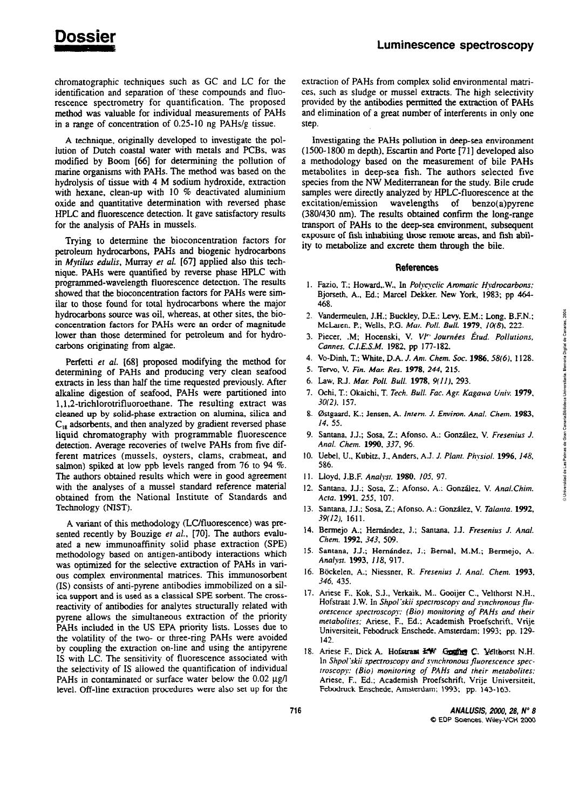chromatographic techniques such as GC and LC for the identification and separation of these compounds and fluorescence spectrometry for quantification. The proposed method was vaiuable for individual measurements of PAHs in a range of concentration of 0.25-10 ng PAHs/g tissue.

A technique, originally developed to investigate the pollution of Dutch coastai water with metals and PCBs, was modified by Boom *[66]* for determining the pollution of marine organisms with PAHs. The method was based on the hydrolysis of tissue with 4 M sodium hydroxide, extraction with hexane, clean-up with 10 % deactivated aluminium oxide and quantitative determination with reversed phase HPLC and fiuorescence detection. It gave satisfactory results for the analysis of PAHs in mussels.

Trying to determine the bioconcentration factors for petroleum hydrocarbons, PAHs and biogenic hydrocarbons in *Mytilus edulis,* Murray *et al.* [67] applied aiso this technique. PAHs were quantified by reverse phase **HPLC** with programmed-wavelength fluorescence detection. The results showed that the bioconcentration factors for PAHs were similar to those found for total hydrocarbons where the major hydrocarbons source was oil, whereas, at other sites, the bio-  $\frac{1}{2}$  **Concentration factors for PAHs were an order of magnitude** lower than those determined for petroleum and for hydrocarbons originating from algae.

Perfetti *er* al. **[68]** proposed modifying the method for determíning of PAHs and producing very clean seafood extracts in less than haif the time requested previously. After alkaline digestion of seafood, PAHs were partitioned into 1,1,2-trichlorotrifluoroethane. The resulting extract was cleaned up by solid-phase extraction on alumina, silica and **C,,** adsorbents, and then analyzed by gradient reversed phase liquid chromatography with programmable fluorescence detection. Average recoveries of twelve PAHs from five different matrices (mussels, oysters, clams, crabmeat. and salmon) spiked at low ppb levels ranged from 76 to 94 %. The authors obtained results which were in good agreement with the analyses of a mussel standard reference material obtained from the National Institute of Standards and Technology (NiST).

A variant of this methodology (LC/fluorescence) was presented recently by Bouzige *er al.,* [70]. The authors evaiuated a new immunoaffínity solid phase extraction (SPE) methodology based on antigen-antibody interactions which was optimized for the selective extraction of PAHs in various complex environmentai matrices. This imrnunosorbent (1s) consists of anti-pyrene antibodies immobilized on a sil**ica support and is used as a classical SPE sorbent. The cross**reactivity of antibodies for analytes structuraily related with pyrene allows the simultaneous extraction of the priority PAHs included in the US EPA priority lists. Losses due to the volatility of he two- or three-ring PAHs were avoided by coupling the extraction on-line and using the antipyrene IS with **LC.** The sensitivity of fluorescence associated with the selectivity of IS allowed the quantification of individual PAHs in contaminated or surface water below the 0.02  $\mu$ g/l level. Off-line extraction procedures were also set up for the

extraction of PAHs from complex solid environmental matrices, such as sludge or mussel extracts. The high selectivity provided by the antibodies **permitted** the extraction of PAHs and elimination of a great number of interferents in only one step.

Investigating the PAHs pollution in deep-sea environment (1500-1800 m depth), Escartin and Pone **1711** developed aiso a methodology based on the measurement of bile PAHs metabolites in deep-sea fish. The authors selected five species from the NW Mediterranean for the study. Bile crude sarnples were directiy analyzed by HPLC-fluorescence at the excitation/emission wavelengths of benzo(a)pyrene  $(380/430 \text{ nm})$ . The results obtained confirm the long-range transpon of PAHs to the deepsea environment, subsequent exposure of fish inhabiting those remote areas, **and** fish ability to metabolize and excrete them through the bile.

#### **References**

- 1. Fazio, T.; Howard, W., In *Polycyclic Aromatic Hydrocarbons;* Bjorseth, A-, **Ed.;** Marcel Dekker. New York, 1983; pp **464-**  *A68.* **2.** Vandermeulen, J.H.; Buckley, D.E.; Levy. **E.M.**; Long, B.F.N.; *N.*
- $Mcl. 222.$ <br> **McLaren, P.; Wells, P.G.** *Mar. Poll. Bull.* **1979, 10(8), 222.**
- Piecer. .M; Hocenski, V. VI" *Journées irud. Pollurioris,* **O <sup>n</sup>** *Cannes, C.I.E.S.M.* 1982, pp 177-182. Cannes, C.I.E.S.M. 1982, pp 177-182.<br>4. Vo-Dinh, T.; White, D.A. *J. Am. Chem. Soc.* **1986**, 58(6), 1128.
- 
- 5. Tervo, V. *Fin. Mar. Res.* **1978**, 244, 215.
- <sup>E</sup>Law, **R.J.** *Mal: Poli. Bull.* **1978,** *9(11).* 293. -
- 7. Ochi, T.: Okaichi, T. *Tech. Bull. Fac. Agr. Kagawa Univ.* **1979**, *30(2),* 157. -
- 0stgaard. K.; Jensen, A. *Inreni. J. Environ. Anal. Chem.* **1983, <sup>0</sup>**  $\sum_{i=1}^{n}$
- Santana, J.J.; Sosa, 2.: Afonso. A.: Gonzáiez, V. *Fresenius* J. *Anal. Chem. 1990, 337.* 96. **<sup>n</sup>**
- 10. Uebel, U., Kubitz, J., Anders, A.J. *J. Plant. Physiol.* **1996**, *148*, **586**. **586.** *l* $\frac{8}{3}$
- 11. Lloyd, J.B.F. Analyst. **1980**. **105**, 97.
- 12. Santana, J.J.; Sosa, Z.; Afonso, A.; González, V. Anal.Chim. *Acto.* **1991.** *255, 107.* **<sup>3</sup>**
- Santana, J.J.; Sosa, Z.; Afonso. *A.:* González, V. *Talanta.* **1992,**  *39(12).* **161** 1.
- 14. Bermejo A.; Hernández, J.; Santana, J.J. *Fresenius J. Anal. Chem.* **1992,** *343, 509.*
- Santana, J.J.; Hemández, J.; Bernal, **M.M.;** Bermejo, A. 15. *Analysr.* **1993,** *J18, 917.*
- Bkkelen, A.; Niessner, R. *Fresenius* J. *Anal. Cheni.* **1993,**  *346,* 435.
- 17. Ariese F., Kok, S.J., Verkaik, M.. Gooijer C., Velthorst N.H., Hofstraat J.W. In *Shpol'skii spectroscopy and synchronous fluorescerice specrmscop?: (Bio) moniroring of PAHs and rheir merabolires;* Ariese. *F.. Ed.;* Academish Proefschrift. Vrije Universiteit, Febodruck Enschede. Amsterdam: 1993: pp. 129- *142.*
- 18. Ariese F., Dick A. Hofstraat  $44W$  Gosfier C. Velthorst N.H. In *Shpol'skii spectroscopy and synchronous fluorescence speciroscopy: (Bio) moniroring of PAHs and their merabolires:*  Ariese. *F..* **Ed.;** Academish Proefschnfi, Vrije Universiteit, Febodruck Enschede, Amsterdam: 1993; pp. *143- 163.*